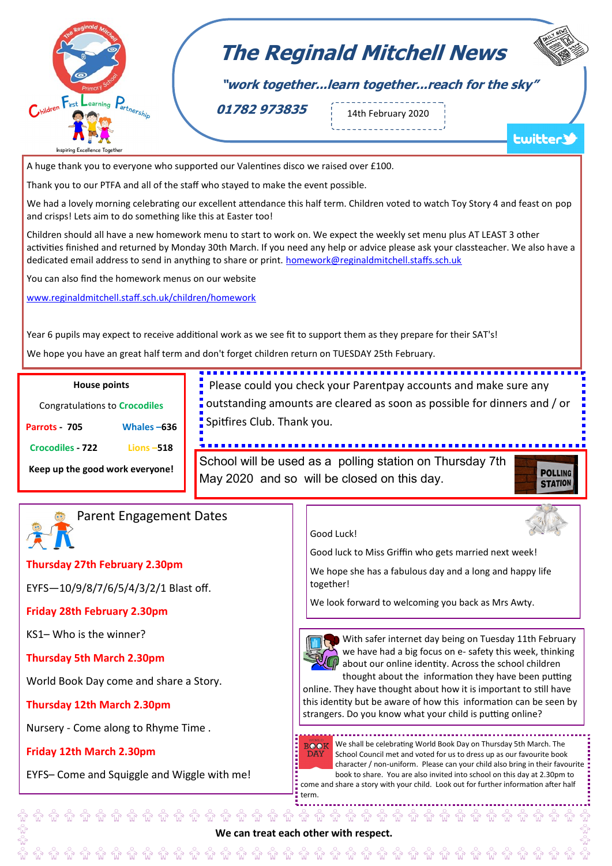